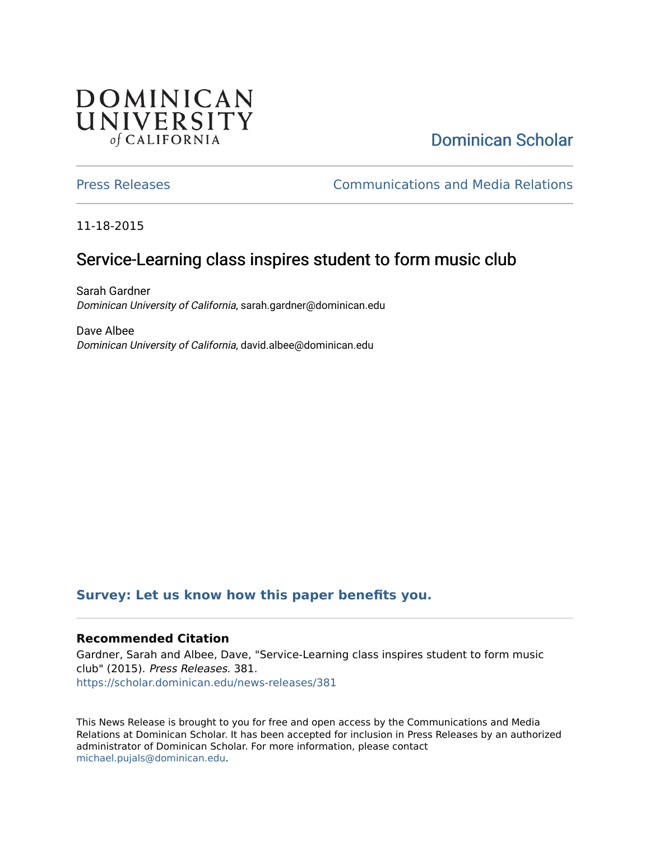## **DOMINICAN** UNIVERSITY of CALIFORNIA

# [Dominican Scholar](https://scholar.dominican.edu/)

[Press Releases](https://scholar.dominican.edu/news-releases) [Communications and Media Relations](https://scholar.dominican.edu/communications-media) 

11-18-2015

## Service-Learning class inspires student to form music club

Sarah Gardner Dominican University of California, sarah.gardner@dominican.edu

Dave Albee Dominican University of California, david.albee@dominican.edu

#### **[Survey: Let us know how this paper benefits you.](https://dominican.libwizard.com/dominican-scholar-feedback)**

#### **Recommended Citation**

Gardner, Sarah and Albee, Dave, "Service-Learning class inspires student to form music club" (2015). Press Releases. 381. [https://scholar.dominican.edu/news-releases/381](https://scholar.dominican.edu/news-releases/381?utm_source=scholar.dominican.edu%2Fnews-releases%2F381&utm_medium=PDF&utm_campaign=PDFCoverPages)

This News Release is brought to you for free and open access by the Communications and Media Relations at Dominican Scholar. It has been accepted for inclusion in Press Releases by an authorized administrator of Dominican Scholar. For more information, please contact [michael.pujals@dominican.edu.](mailto:michael.pujals@dominican.edu)